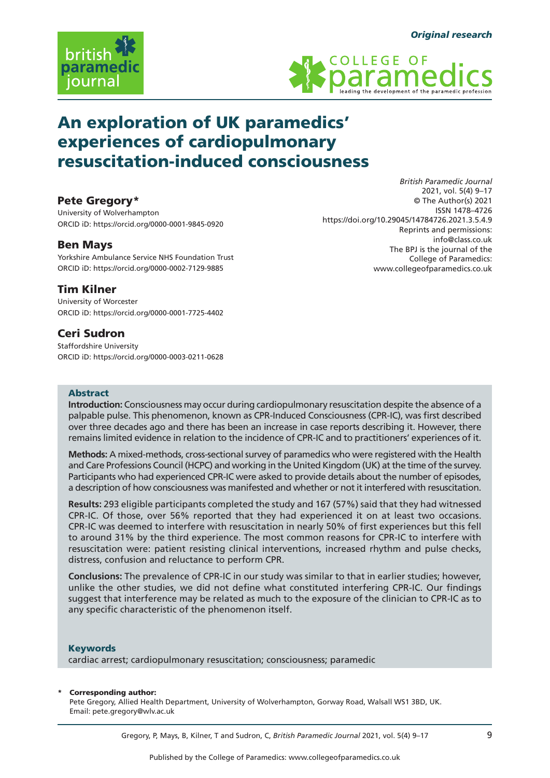



# An exploration of UK paramedics' experiences of cardiopulmonary resuscitation-induced consciousness

# Pete Gregory\*

University of Wolverhampton ORCID iD: https://orcid.org/0000-0001-9845-0920

# Ben Mays

Yorkshire Ambulance Service NHS Foundation Trust ORCID iD: https://orcid.org/0000-0002-7129-9885

# Tim Kilner

University of Worcester ORCID iD: https://orcid.org/0000-0001-7725-4402

# Ceri Sudron

Staffordshire University ORCID iD: https://orcid.org/0000-0003-0211-0628

*British Paramedic Journal* 2021, vol. 5(4) 9–17 © The Author(s) 2021 ISSN 1478–4726 https://doi.org/10.29045/14784726.2021.3.5.4.9 Reprints and permissions: info@class.co.uk The BPJ is the journal of the College of Paramedics: www.collegeofparamedics.co.uk

## Abstract

**Introduction:** Consciousness may occur during cardiopulmonary resuscitation despite the absence of a palpable pulse. This phenomenon, known as CPR-Induced Consciousness (CPR-IC), was first described over three decades ago and there has been an increase in case reports describing it. However, there remains limited evidence in relation to the incidence of CPR-IC and to practitioners' experiences of it.

**Methods:** A mixed-methods, cross-sectional survey of paramedics who were registered with the Health and Care Professions Council (HCPC) and working in the United Kingdom (UK) at the time of the survey. Participants who had experienced CPR-IC were asked to provide details about the number of episodes, a description of how consciousness was manifested and whether or not it interfered with resuscitation.

**Results:** 293 eligible participants completed the study and 167 (57%) said that they had witnessed CPR-IC. Of those, over 56% reported that they had experienced it on at least two occasions. CPR-IC was deemed to interfere with resuscitation in nearly 50% of first experiences but this fell to around 31% by the third experience. The most common reasons for CPR-IC to interfere with resuscitation were: patient resisting clinical interventions, increased rhythm and pulse checks, distress, confusion and reluctance to perform CPR.

**Conclusions:** The prevalence of CPR-IC in our study was similar to that in earlier studies; however, unlike the other studies, we did not define what constituted interfering CPR-IC. Our findings suggest that interference may be related as much to the exposure of the clinician to CPR-IC as to any specific characteristic of the phenomenon itself.

#### Keywords

cardiac arrest; cardiopulmonary resuscitation; consciousness; paramedic

#### Corresponding author:

Pete Gregory, Allied Health Department, University of Wolverhampton, Gorway Road, Walsall WS1 3BD, UK. Email: pete.gregory@wlv.ac.uk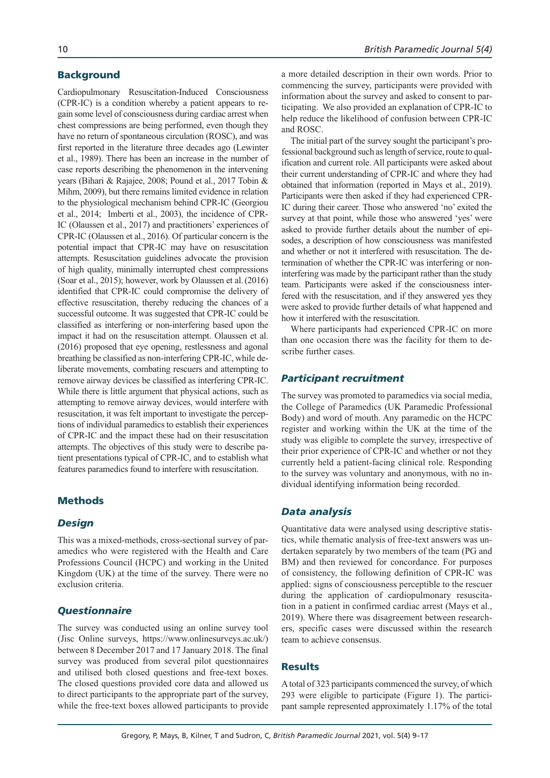## **Background**

Cardiopulmonary Resuscitation-Induced Consciousness (CPR-IC) is a condition whereby a patient appears to regain some level of consciousness during cardiac arrest when chest compressions are being performed, even though they have no return of spontaneous circulation (ROSC), and was first reported in the literature three decades ago (Lewinter et al., 1989). There has been an increase in the number of case reports describing the phenomenon in the intervening years (Bihari & Rajajee, 2008; Pound et al., 2017 Tobin & Mihm, 2009), but there remains limited evidence in relation to the physiological mechanism behind CPR-IC (Georgiou et al., 2014; Imberti et al., 2003), the incidence of CPR-IC (Olaussen et al., 2017) and practitioners' experiences of CPR-IC (Olaussen et al., 2016). Of particular concern is the potential impact that CPR-IC may have on resuscitation attempts. Resuscitation guidelines advocate the provision of high quality, minimally interrupted chest compressions (Soar et al., 2015); however, work by Olaussen et al.(2016) identified that CPR-IC could compromise the delivery of effective resuscitation, thereby reducing the chances of a successful outcome. It was suggested that CPR-IC could be classified as interfering or non-interfering based upon the impact it had on the resuscitation attempt. Olaussen et al. (2016) proposed that eye opening, restlessness and agonal breathing be classified as non-interfering CPR-IC, while deliberate movements, combating rescuers and attempting to remove airway devices be classified as interfering CPR-IC. While there is little argument that physical actions, such as attempting to remove airway devices, would interfere with resuscitation, it was felt important to investigate the perceptions of individual paramedics to establish their experiences of CPR-IC and the impact these had on their resuscitation attempts. The objectives of this study were to describe patient presentations typical of CPR-IC, and to establish what features paramedics found to interfere with resuscitation.

# **Methods**

## *Design*

This was a mixed-methods, cross-sectional survey of paramedics who were registered with the Health and Care Professions Council (HCPC) and working in the United Kingdom (UK) at the time of the survey. There were no exclusion criteria.

## *Questionnaire*

The survey was conducted using an online survey tool (Jisc Online surveys, https://www.onlinesurveys.ac.uk/) between 8 December 2017 and 17 January 2018. The final survey was produced from several pilot questionnaires and utilised both closed questions and free-text boxes. The closed questions provided core data and allowed us to direct participants to the appropriate part of the survey, while the free-text boxes allowed participants to provide a more detailed description in their own words. Prior to commencing the survey, participants were provided with information about the survey and asked to consent to participating. We also provided an explanation of CPR-IC to help reduce the likelihood of confusion between CPR-IC and ROSC.

The initial part of the survey sought the participant's professional background such as length of service, route to qualification and current role. All participants were asked about their current understanding of CPR-IC and where they had obtained that information (reported in Mays et al., 2019). Participants were then asked if they had experienced CPR-IC during their career. Those who answered 'no' exited the survey at that point, while those who answered 'yes' were asked to provide further details about the number of episodes, a description of how consciousness was manifested and whether or not it interfered with resuscitation. The determination of whether the CPR-IC was interfering or noninterfering was made by the participant rather than the study team. Participants were asked if the consciousness interfered with the resuscitation, and if they answered yes they were asked to provide further details of what happened and how it interfered with the resuscitation.

Where participants had experienced CPR-IC on more than one occasion there was the facility for them to describe further cases.

### *Participant recruitment*

The survey was promoted to paramedics via social media, the College of Paramedics (UK Paramedic Professional Body) and word of mouth. Any paramedic on the HCPC register and working within the UK at the time of the study was eligible to complete the survey, irrespective of their prior experience of CPR-IC and whether or not they currently held a patient-facing clinical role. Responding to the survey was voluntary and anonymous, with no individual identifying information being recorded.

## *Data analysis*

Quantitative data were analysed using descriptive statistics, while thematic analysis of free-text answers was undertaken separately by two members of the team (PG and BM) and then reviewed for concordance. For purposes of consistency, the following definition of CPR-IC was applied: signs of consciousness perceptible to the rescuer during the application of cardiopulmonary resuscitation in a patient in confirmed cardiac arrest (Mays et al., 2019). Where there was disagreement between researchers, specific cases were discussed within the research team to achieve consensus.

## **Results**

A total of 323 participants commenced the survey, of which 293 were eligible to participate (Figure 1). The participant sample represented approximately 1.17% of the total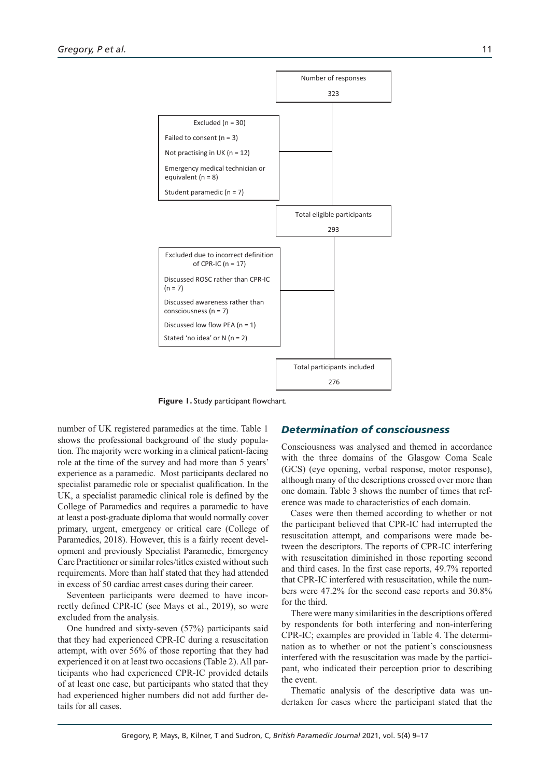

**Figure 1.** Study participant flowchart.

number of UK registered paramedics at the time. Table 1 shows the professional background of the study population. The majority were working in a clinical patient-facing role at the time of the survey and had more than 5 years' experience as a paramedic. Most participants declared no specialist paramedic role or specialist qualification. In the UK, a specialist paramedic clinical role is defined by the College of Paramedics and requires a paramedic to have at least a post-graduate diploma that would normally cover primary, urgent, emergency or critical care (College of Paramedics, 2018). However, this is a fairly recent development and previously Specialist Paramedic, Emergency Care Practitioner or similar roles/titles existed without such requirements. More than half stated that they had attended in excess of 50 cardiac arrest cases during their career.

Seventeen participants were deemed to have incorrectly defined CPR-IC (see Mays et al., 2019), so were excluded from the analysis.

One hundred and sixty-seven (57%) participants said that they had experienced CPR-IC during a resuscitation attempt, with over 56% of those reporting that they had experienced it on at least two occasions (Table 2). All participants who had experienced CPR-IC provided details of at least one case, but participants who stated that they had experienced higher numbers did not add further details for all cases.

## *Determination of consciousness*

Consciousness was analysed and themed in accordance with the three domains of the Glasgow Coma Scale (GCS) (eye opening, verbal response, motor response), although many of the descriptions crossed over more than one domain. Table 3 shows the number of times that reference was made to characteristics of each domain.

Cases were then themed according to whether or not the participant believed that CPR-IC had interrupted the resuscitation attempt, and comparisons were made between the descriptors. The reports of CPR-IC interfering with resuscitation diminished in those reporting second and third cases. In the first case reports, 49.7% reported that CPR-IC interfered with resuscitation, while the numbers were 47.2% for the second case reports and 30.8% for the third.

There were many similarities in the descriptions offered by respondents for both interfering and non-interfering CPR-IC; examples are provided in Table 4. The determination as to whether or not the patient's consciousness interfered with the resuscitation was made by the participant, who indicated their perception prior to describing the event.

Thematic analysis of the descriptive data was undertaken for cases where the participant stated that the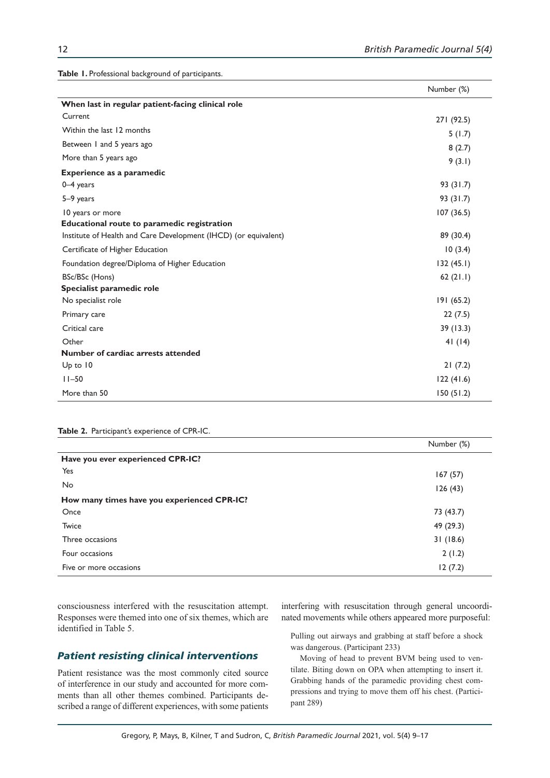**Table 1.** Professional background of participants.

|                                                                 | Number (%) |
|-----------------------------------------------------------------|------------|
| When last in regular patient-facing clinical role               |            |
| Current                                                         | 271 (92.5) |
| Within the last 12 months                                       | 5(1.7)     |
| Between 1 and 5 years ago                                       | 8(2.7)     |
| More than 5 years ago                                           | 9(3.1)     |
| <b>Experience as a paramedic</b>                                |            |
| $0-4$ years                                                     | 93 (31.7)  |
| 5-9 years                                                       | 93 (31.7)  |
| 10 years or more                                                | 107(36.5)  |
| Educational route to paramedic registration                     |            |
| Institute of Health and Care Development (IHCD) (or equivalent) | 89 (30.4)  |
| Certificate of Higher Education                                 | 10(3.4)    |
| Foundation degree/Diploma of Higher Education                   | 132(45.1)  |
| BSc/BSc (Hons)                                                  | 62(21.1)   |
| Specialist paramedic role                                       |            |
| No specialist role                                              | 191(65.2)  |
| Primary care                                                    | 22(7.5)    |
| Critical care                                                   | 39(13.3)   |
| Other                                                           | 41(14)     |
| Number of cardiac arrests attended                              |            |
| $Up$ to $10$                                                    | 21(7.2)    |
| $11 - 50$                                                       | 122(41.6)  |
| More than 50                                                    | 150(51.2)  |

#### **Table 2.** Participant's experience of CPR-IC.

|                                             | Number (%) |
|---------------------------------------------|------------|
| Have you ever experienced CPR-IC?           |            |
| Yes                                         | 167(57)    |
| <b>No</b>                                   | 126(43)    |
| How many times have you experienced CPR-IC? |            |
| Once                                        | 73 (43.7)  |
| Twice                                       | 49 (29.3)  |
| Three occasions                             | 31(18.6)   |
| Four occasions                              | 2(1.2)     |
| Five or more occasions                      | 12(7.2)    |

consciousness interfered with the resuscitation attempt. Responses were themed into one of six themes, which are identified in Table 5.

## *Patient resisting clinical interventions*

Patient resistance was the most commonly cited source of interference in our study and accounted for more comments than all other themes combined. Participants described a range of different experiences, with some patients

interfering with resuscitation through general uncoordinated movements while others appeared more purposeful:

Pulling out airways and grabbing at staff before a shock was dangerous. (Participant 233)

Moving of head to prevent BVM being used to ventilate. Biting down on OPA when attempting to insert it. Grabbing hands of the paramedic providing chest compressions and trying to move them off his chest. (Participant 289)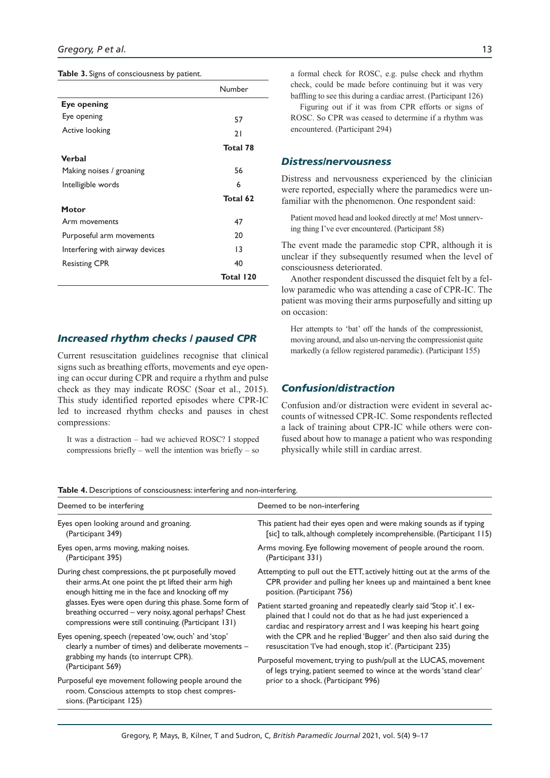|  |  | Table 3. Signs of consciousness by patient. |  |  |
|--|--|---------------------------------------------|--|--|
|--|--|---------------------------------------------|--|--|

|                                 | Number    |
|---------------------------------|-----------|
| Eye opening                     |           |
| Eye opening                     | 57        |
| Active looking                  | 21        |
|                                 | Total 78  |
| Verbal                          |           |
| Making noises / groaning        | 56        |
| Intelligible words              | 6         |
|                                 | Total 62  |
| Motor                           |           |
| Arm movements                   | 47        |
| Purposeful arm movements        | 20        |
| Interfering with airway devices | 13        |
| <b>Resisting CPR</b>            | 40        |
|                                 | Total 120 |

*Increased rhythm checks / paused CPR*

Current resuscitation guidelines recognise that clinical signs such as breathing efforts, movements and eye opening can occur during CPR and require a rhythm and pulse check as they may indicate ROSC (Soar et al., 2015). This study identified reported episodes where CPR-IC led to increased rhythm checks and pauses in chest compressions:

It was a distraction – had we achieved ROSC? I stopped compressions briefly – well the intention was briefly – so a formal check for ROSC, e.g. pulse check and rhythm check, could be made before continuing but it was very baffling to see this during a cardiac arrest. (Participant 126)

Figuring out if it was from CPR efforts or signs of ROSC. So CPR was ceased to determine if a rhythm was encountered. (Participant 294)

## *Distress/nervousness*

Distress and nervousness experienced by the clinician were reported, especially where the paramedics were unfamiliar with the phenomenon. One respondent said:

Patient moved head and looked directly at me! Most unnerving thing I've ever encountered. (Participant 58)

The event made the paramedic stop CPR, although it is unclear if they subsequently resumed when the level of consciousness deteriorated.

Another respondent discussed the disquiet felt by a fellow paramedic who was attending a case of CPR-IC. The patient was moving their arms purposefully and sitting up on occasion:

Her attempts to 'bat' off the hands of the compressionist, moving around, and also un-nerving the compressionist quite markedly (a fellow registered paramedic). (Participant 155)

## *Confusion/distraction*

Confusion and/or distraction were evident in several accounts of witnessed CPR-IC. Some respondents reflected a lack of training about CPR-IC while others were confused about how to manage a patient who was responding physically while still in cardiac arrest.

|  | Table 4. Descriptions of consciousness: interfering and non-interfering. |  |
|--|--------------------------------------------------------------------------|--|
|  |                                                                          |  |

| Deemed to be interfering                                                                                                           | Deemed to be non-interfering                                            |  |  |
|------------------------------------------------------------------------------------------------------------------------------------|-------------------------------------------------------------------------|--|--|
| Eyes open looking around and groaning.                                                                                             | This patient had their eyes open and were making sounds as if typing    |  |  |
| (Participant 349)                                                                                                                  | [sic] to talk, although completely incomprehensible. (Participant 115)  |  |  |
| Eyes open, arms moving, making noises.                                                                                             | Arms moving. Eye following movement of people around the room.          |  |  |
| (Participant 395)                                                                                                                  | (Participant 331)                                                       |  |  |
| During chest compressions, the pt purposefully moved                                                                               | Attempting to pull out the ETT, actively hitting out at the arms of the |  |  |
| their arms. At one point the pt lifted their arm high                                                                              | CPR provider and pulling her knees up and maintained a bent knee        |  |  |
| enough hitting me in the face and knocking off my                                                                                  | position. (Participant 756)                                             |  |  |
| glasses. Eyes were open during this phase. Some form of                                                                            | Patient started groaning and repeatedly clearly said 'Stop it'. I ex-   |  |  |
| breathing occurred - very noisy, agonal perhaps? Chest                                                                             | plained that I could not do that as he had just experienced a           |  |  |
| compressions were still continuing. (Participant 131)                                                                              | cardiac and respiratory arrest and I was keeping his heart going        |  |  |
| Eyes opening, speech (repeated 'ow, ouch' and 'stop'                                                                               | with the CPR and he replied 'Bugger' and then also said during the      |  |  |
| clearly a number of times) and deliberate movements -                                                                              | resuscitation 'l've had enough, stop it'. (Participant 235)             |  |  |
| grabbing my hands (to interrupt CPR).                                                                                              | Purposeful movement, trying to push/pull at the LUCAS, movement         |  |  |
| (Participant 569)                                                                                                                  | of legs trying, patient seemed to wince at the words 'stand clear'      |  |  |
| Purposeful eye movement following people around the<br>room. Conscious attempts to stop chest compres-<br>sions. (Participant 125) | prior to a shock. (Participant 996)                                     |  |  |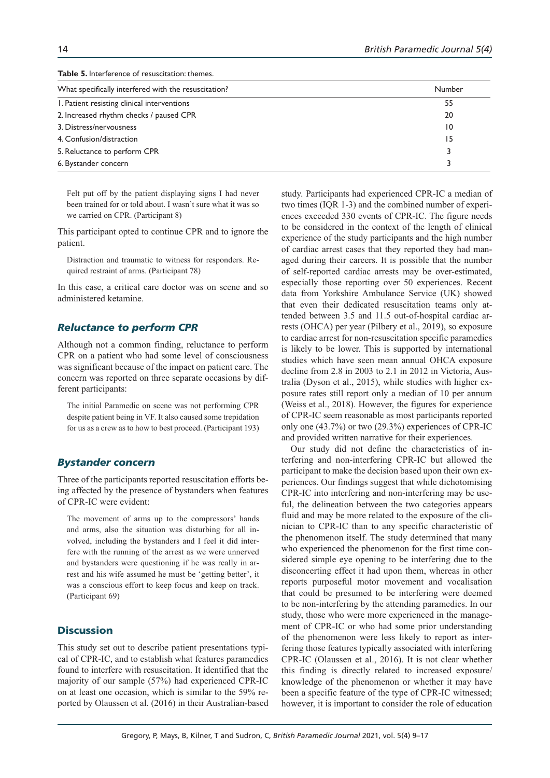| <b>Table 5.</b> Interference of resuscitation: themes. |                 |  |
|--------------------------------------------------------|-----------------|--|
| What specifically interfered with the resuscitation?   | Number          |  |
| 1. Patient resisting clinical interventions            | 55              |  |
| 2. Increased rhythm checks / paused CPR                | 20              |  |
| 3. Distress/nervousness                                | $\overline{10}$ |  |
| 4. Confusion/distraction                               | 15              |  |
| 5. Reluctance to perform CPR                           |                 |  |
| 6. Bystander concern                                   |                 |  |

Felt put off by the patient displaying signs I had never been trained for or told about. I wasn't sure what it was so we carried on CPR. (Participant 8)

This participant opted to continue CPR and to ignore the patient.

Distraction and traumatic to witness for responders. Required restraint of arms. (Participant 78)

In this case, a critical care doctor was on scene and so administered ketamine.

# *Reluctance to perform CPR*

Although not a common finding, reluctance to perform CPR on a patient who had some level of consciousness was significant because of the impact on patient care. The concern was reported on three separate occasions by different participants:

The initial Paramedic on scene was not performing CPR despite patient being in VF. It also caused some trepidation for us as a crew as to how to best proceed. (Participant 193)

# *Bystander concern*

Three of the participants reported resuscitation efforts being affected by the presence of bystanders when features of CPR-IC were evident:

The movement of arms up to the compressors' hands and arms, also the situation was disturbing for all involved, including the bystanders and I feel it did interfere with the running of the arrest as we were unnerved and bystanders were questioning if he was really in arrest and his wife assumed he must be 'getting better', it was a conscious effort to keep focus and keep on track. (Participant 69)

## **Discussion**

This study set out to describe patient presentations typical of CPR-IC, and to establish what features paramedics found to interfere with resuscitation. It identified that the majority of our sample (57%) had experienced CPR-IC on at least one occasion, which is similar to the 59% reported by Olaussen et al. (2016) in their Australian-based

study. Participants had experienced CPR-IC a median of two times (IQR 1-3) and the combined number of experiences exceeded 330 events of CPR-IC. The figure needs to be considered in the context of the length of clinical experience of the study participants and the high number of cardiac arrest cases that they reported they had managed during their careers. It is possible that the number of self-reported cardiac arrests may be over-estimated, especially those reporting over 50 experiences. Recent data from Yorkshire Ambulance Service (UK) showed that even their dedicated resuscitation teams only attended between 3.5 and 11.5 out-of-hospital cardiac arrests (OHCA) per year (Pilbery et al., 2019), so exposure to cardiac arrest for non-resuscitation specific paramedics is likely to be lower. This is supported by international studies which have seen mean annual OHCA exposure decline from 2.8 in 2003 to 2.1 in 2012 in Victoria, Australia (Dyson et al., 2015), while studies with higher exposure rates still report only a median of 10 per annum (Weiss et al., 2018). However, the figures for experience of CPR-IC seem reasonable as most participants reported only one (43.7%) or two (29.3%) experiences of CPR-IC and provided written narrative for their experiences.

Our study did not define the characteristics of interfering and non-interfering CPR-IC but allowed the participant to make the decision based upon their own experiences. Our findings suggest that while dichotomising CPR-IC into interfering and non-interfering may be useful, the delineation between the two categories appears fluid and may be more related to the exposure of the clinician to CPR-IC than to any specific characteristic of the phenomenon itself. The study determined that many who experienced the phenomenon for the first time considered simple eye opening to be interfering due to the disconcerting effect it had upon them, whereas in other reports purposeful motor movement and vocalisation that could be presumed to be interfering were deemed to be non-interfering by the attending paramedics. In our study, those who were more experienced in the management of CPR-IC or who had some prior understanding of the phenomenon were less likely to report as interfering those features typically associated with interfering CPR-IC (Olaussen et al., 2016). It is not clear whether this finding is directly related to increased exposure/ knowledge of the phenomenon or whether it may have been a specific feature of the type of CPR-IC witnessed; however, it is important to consider the role of education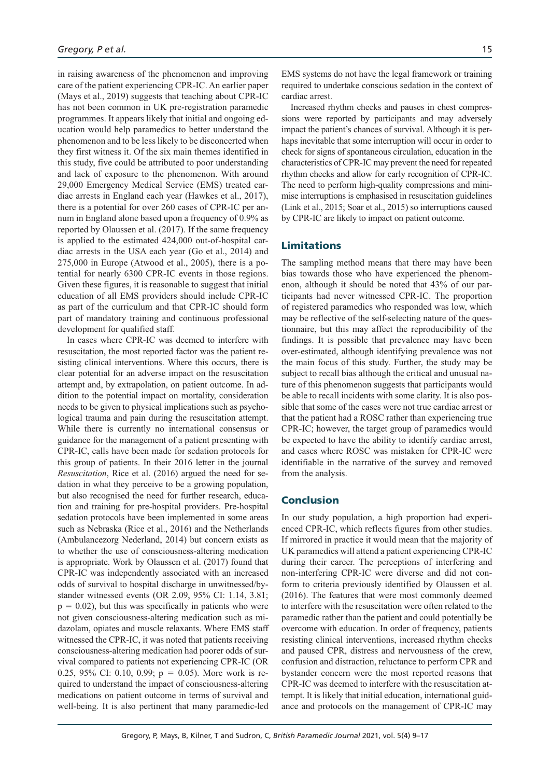in raising awareness of the phenomenon and improving care of the patient experiencing CPR-IC. An earlier paper (Mays et al., 2019) suggests that teaching about CPR-IC has not been common in UK pre-registration paramedic programmes. It appears likely that initial and ongoing education would help paramedics to better understand the phenomenon and to be less likely to be disconcerted when they first witness it. Of the six main themes identified in this study, five could be attributed to poor understanding and lack of exposure to the phenomenon. With around 29,000 Emergency Medical Service (EMS) treated cardiac arrests in England each year (Hawkes et al., 2017), there is a potential for over 260 cases of CPR-IC per annum in England alone based upon a frequency of 0.9% as reported by Olaussen et al. (2017). If the same frequency is applied to the estimated 424,000 out-of-hospital cardiac arrests in the USA each year (Go et al., 2014) and 275,000 in Europe (Atwood et al., 2005), there is a potential for nearly 6300 CPR-IC events in those regions. Given these figures, it is reasonable to suggest that initial education of all EMS providers should include CPR-IC as part of the curriculum and that CPR-IC should form part of mandatory training and continuous professional development for qualified staff.

In cases where CPR-IC was deemed to interfere with resuscitation, the most reported factor was the patient resisting clinical interventions. Where this occurs, there is clear potential for an adverse impact on the resuscitation attempt and, by extrapolation, on patient outcome. In addition to the potential impact on mortality, consideration needs to be given to physical implications such as psychological trauma and pain during the resuscitation attempt. While there is currently no international consensus or guidance for the management of a patient presenting with CPR-IC, calls have been made for sedation protocols for this group of patients. In their 2016 letter in the journal *Resuscitation*, Rice et al. (2016) argued the need for sedation in what they perceive to be a growing population, but also recognised the need for further research, education and training for pre-hospital providers. Pre-hospital sedation protocols have been implemented in some areas such as Nebraska (Rice et al., 2016) and the Netherlands (Ambulancezorg Nederland, 2014) but concern exists as to whether the use of consciousness-altering medication is appropriate. Work by Olaussen et al. (2017) found that CPR-IC was independently associated with an increased odds of survival to hospital discharge in unwitnessed/bystander witnessed events (OR 2.09, 95% CI: 1.14, 3.81;  $p = 0.02$ ), but this was specifically in patients who were not given consciousness-altering medication such as midazolam, opiates and muscle relaxants. Where EMS staff witnessed the CPR-IC, it was noted that patients receiving consciousness-altering medication had poorer odds of survival compared to patients not experiencing CPR-IC (OR 0.25, 95% CI: 0.10, 0.99;  $p = 0.05$ ). More work is required to understand the impact of consciousness-altering medications on patient outcome in terms of survival and well-being. It is also pertinent that many paramedic-led EMS systems do not have the legal framework or training required to undertake conscious sedation in the context of cardiac arrest.

Increased rhythm checks and pauses in chest compressions were reported by participants and may adversely impact the patient's chances of survival. Although it is perhaps inevitable that some interruption will occur in order to check for signs of spontaneous circulation, education in the characteristics of CPR-IC may prevent the need for repeated rhythm checks and allow for early recognition of CPR-IC. The need to perform high-quality compressions and minimise interruptions is emphasised in resuscitation guidelines (Link et al., 2015; Soar et al., 2015) so interruptions caused by CPR-IC are likely to impact on patient outcome.

## Limitations

The sampling method means that there may have been bias towards those who have experienced the phenomenon, although it should be noted that 43% of our participants had never witnessed CPR-IC. The proportion of registered paramedics who responded was low, which may be reflective of the self-selecting nature of the questionnaire, but this may affect the reproducibility of the findings. It is possible that prevalence may have been over-estimated, although identifying prevalence was not the main focus of this study. Further, the study may be subject to recall bias although the critical and unusual nature of this phenomenon suggests that participants would be able to recall incidents with some clarity. It is also possible that some of the cases were not true cardiac arrest or that the patient had a ROSC rather than experiencing true CPR-IC; however, the target group of paramedics would be expected to have the ability to identify cardiac arrest, and cases where ROSC was mistaken for CPR-IC were identifiable in the narrative of the survey and removed from the analysis.

## Conclusion

In our study population, a high proportion had experienced CPR-IC, which reflects figures from other studies. If mirrored in practice it would mean that the majority of UK paramedics will attend a patient experiencing CPR-IC during their career. The perceptions of interfering and non-interfering CPR-IC were diverse and did not conform to criteria previously identified by Olaussen et al. (2016). The features that were most commonly deemed to interfere with the resuscitation were often related to the paramedic rather than the patient and could potentially be overcome with education. In order of frequency, patients resisting clinical interventions, increased rhythm checks and paused CPR, distress and nervousness of the crew, confusion and distraction, reluctance to perform CPR and bystander concern were the most reported reasons that CPR-IC was deemed to interfere with the resuscitation attempt. It is likely that initial education, international guidance and protocols on the management of CPR-IC may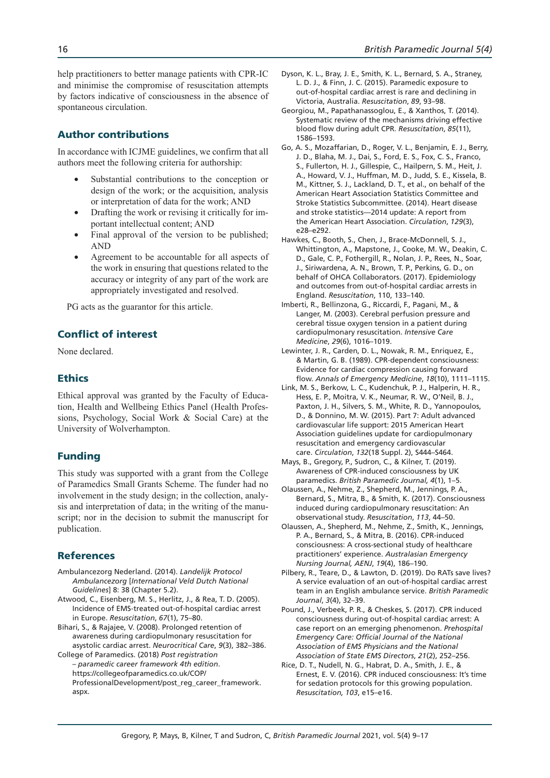help practitioners to better manage patients with CPR-IC and minimise the compromise of resuscitation attempts by factors indicative of consciousness in the absence of spontaneous circulation.

# Author contributions

In accordance with ICJME guidelines, we confirm that all authors meet the following criteria for authorship:

- Substantial contributions to the conception or design of the work; or the acquisition, analysis or interpretation of data for the work; AND
- Drafting the work or revising it critically for important intellectual content; AND
- Final approval of the version to be published; AND
- Agreement to be accountable for all aspects of the work in ensuring that questions related to the accuracy or integrity of any part of the work are appropriately investigated and resolved.

PG acts as the guarantor for this article.

## Conflict of interest

None declared.

# **Ethics**

Ethical approval was granted by the Faculty of Education, Health and Wellbeing Ethics Panel (Health Professions, Psychology, Social Work & Social Care) at the University of Wolverhampton.

## Funding

This study was supported with a grant from the College of Paramedics Small Grants Scheme. The funder had no involvement in the study design; in the collection, analysis and interpretation of data; in the writing of the manuscript; nor in the decision to submit the manuscript for publication.

## References

- Ambulancezorg Nederland. (2014). *Landelijk Protocol Ambulancezorg* [*International Veld Dutch National Guidelines*] 8: 38 (Chapter 5.2).
- Atwood, C., Eisenberg, M. S., Herlitz, J., & Rea, T. D. (2005). Incidence of EMS-treated out-of-hospital cardiac arrest in Europe. *Resuscitation*, *67*(1), 75–80.
- Bihari, S., & Rajajee, V. (2008). Prolonged retention of awareness during cardiopulmonary resuscitation for asystolic cardiac arrest. *Neurocritical Care*, *9*(3), 382–386.
- College of Paramedics. (2018) *Post registration – paramedic career framework 4th edition*. https://collegeofparamedics.co.uk/COP/ ProfessionalDevelopment/post\_reg\_career\_framework. aspx.
- Dyson, K. L., Bray, J. E., Smith, K. L., Bernard, S. A., Straney, L. D. J., & Finn, J. C. (2015). Paramedic exposure to out-of-hospital cardiac arrest is rare and declining in Victoria, Australia. *Resuscitation*, *89*, 93–98.
- Georgiou, M., Papathanassoglou, E., & Xanthos, T. (2014). Systematic review of the mechanisms driving effective blood flow during adult CPR. *Resuscitation*, *85*(11), 1586–1593.
- Go, A. S., Mozaffarian, D., Roger, V. L., Benjamin, E. J., Berry, J. D., Blaha, M. J., Dai, S., Ford, E. S., Fox, C. S., Franco, S., Fullerton, H. J., Gillespie, C., Hailpern, S. M., Heit, J. A., Howard, V. J., Huffman, M. D., Judd, S. E., Kissela, B. M., Kittner, S. J., Lackland, D. T., et al., on behalf of the American Heart Association Statistics Committee and Stroke Statistics Subcommittee. (2014). Heart disease and stroke statistics—2014 update: A report from the American Heart Association. *Circulation*, *129*(3), e28–e292.
- Hawkes, C., Booth, S., Chen, J., Brace-McDonnell, S. J., Whittington, A., Mapstone, J., Cooke, M. W., Deakin, C. D., Gale, C. P., Fothergill, R., Nolan, J. P., Rees, N., Soar, J., Siriwardena, A. N., Brown, T. P., Perkins, G. D., on behalf of OHCA Collaborators. (2017). Epidemiology and outcomes from out-of-hospital cardiac arrests in England. *Resuscitation*, 110, 133–140.
- Imberti, R., Bellinzona, G., Riccardi, F., Pagani, M., & Langer, M. (2003). Cerebral perfusion pressure and cerebral tissue oxygen tension in a patient during cardiopulmonary resuscitation. *Intensive Care Medicine*, *29*(6), 1016–1019.
- Lewinter, J. R., Carden, D. L., Nowak, R. M., Enriquez, E., & Martin, G. B. (1989). CPR-dependent consciousness: Evidence for cardiac compression causing forward flow. *Annals of Emergency Medicine*, *18*(10), 1111–1115.
- Link, M. S., Berkow, L. C., Kudenchuk, P. J., Halperin, H. R., Hess, E. P., Moitra, V. K., Neumar, R. W., O'Neil, B. J., Paxton, J. H., Silvers, S. M., White, R. D., Yannopoulos, D., & Donnino, M. W. (2015). Part 7: Adult advanced cardiovascular life support: 2015 American Heart Association guidelines update for cardiopulmonary resuscitation and emergency cardiovascular care. *Circulation*, *132*(18 Suppl. 2), S444–S464.
- Mays, B., Gregory, P., Sudron, C., & Kilner, T. (2019). Awareness of CPR-induced consciousness by UK paramedics. *British Paramedic Journal, 4*(1), 1–5.
- Olaussen, A., Nehme, Z., Shepherd, M., Jennings, P. A., Bernard, S., Mitra, B., & Smith, K. (2017). Consciousness induced during cardiopulmonary resuscitation: An observational study. *Resuscitation*, *113*, 44–50.
- Olaussen, A., Shepherd, M., Nehme, Z., Smith, K., Jennings, P. A., Bernard, S., & Mitra, B. (2016). CPR-induced consciousness: A cross-sectional study of healthcare practitioners' experience. *Australasian Emergency Nursing Journal, AENJ*, *19*(4), 186–190.
- Pilbery, R., Teare, D., & Lawton, D. (2019). Do RATs save lives? A service evaluation of an out-of-hospital cardiac arrest team in an English ambulance service. *British Paramedic Journal*, *3*(4), 32–39.
- Pound, J., Verbeek, P. R., & Cheskes, S. (2017). CPR induced consciousness during out-of-hospital cardiac arrest: A case report on an emerging phenomenon. *Prehospital Emergency Care: Official Journal of the National Association of EMS Physicians and the National Association of State EMS Directors*, *21*(2), 252–256.
- Rice, D. T., Nudell, N. G., Habrat, D. A., Smith, J. E., & Ernest, E. V. (2016). CPR induced consciousness: It's time for sedation protocols for this growing population. *Resuscitation, 103*, e15–e16.